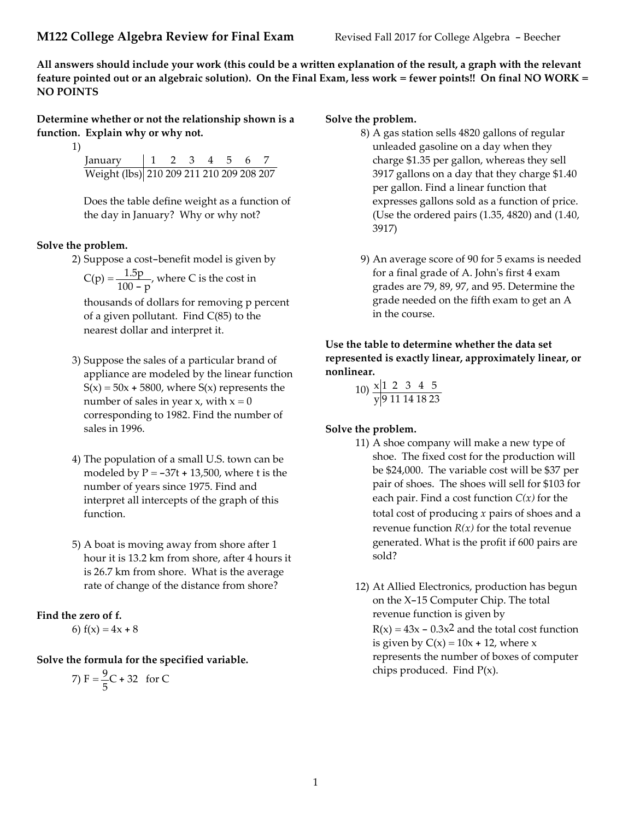All answers should include your work (this could be a written explanation of the result, a graph with the relevant feature pointed out or an algebraic solution). On the Final Exam, less work = fewer points!! On final NO WORK = NO POINTS

Determine whether or not the relationship shown is a function. Explain why or why not.

1)

| January                                  |  | 2 3 4 5 |  |  |
|------------------------------------------|--|---------|--|--|
| Weight (lbs) 210 209 211 210 209 208 207 |  |         |  |  |

Does the table define weight as a function of the day in January? Why or why not?

# Solve the problem.

- 2) Suppose a cost-benefit model is given by
	- $C(p) = \frac{1.5p}{1.38}$  $\frac{1.5 \text{p}}{100 - \text{p}}$ , where C is the cost in

thousands of dollars for removing p percent of a given pollutant. Find C(85) to the nearest dollar and interpret it.

- 3) Suppose the sales of a particular brand of appliance are modeled by the linear function  $S(x) = 50x + 5800$ , where  $S(x)$  represents the number of sales in year x, with  $x = 0$ corresponding to 1982. Find the number of sales in 1996.
- 4) The population of a small U.S. town can be modeled by  $P = -37t + 13,500$ , where t is the number of years since 1975. Find and interpret all intercepts of the graph of this function.
- 5) A boat is moving away from shore after 1 hour it is 13.2 km from shore, after 4 hours it is 26.7 km from shore. What is the average rate of change of the distance from shore?

# Find the zero of f.

6) 
$$
f(x) = 4x + 8
$$

Solve the formula for the specified variable.

7) 
$$
F = \frac{9}{5}C + 32
$$
 for C

## Solve the problem.

- 8) A gas station sells 4820 gallons of regular unleaded gasoline on a day when they charge \$1.35 per gallon, whereas they sell 3917 gallons on a day that they charge \$1.40 per gallon. Find a linear function that expresses gallons sold as a function of price. (Use the ordered pairs (1.35, 4820) and (1.40, 3917)
- 9) An average score of 90 for 5 exams is needed for a final grade of A. John's first 4 exam grades are 79, 89, 97, and 95. Determine the grade needed on the fifth exam to get an A in the course.

# Use the table to determine whether the data set represented is exactly linear, approximately linear, or nonlinear.

 $10) \times 12345$ y 9 11 14 18 23

# Solve the problem.

- 11) A shoe company will make a new type of shoe. The fixed cost for the production will be \$24,000. The variable cost will be \$37 per pair of shoes. The shoes will sell for \$103 for each pair. Find a cost function  $C(x)$  for the total cost of producing  $x$  pairs of shoes and a revenue function  $R(x)$  for the total revenue generated. What is the profit if 600 pairs are sold?
- 12) At Allied Electronics, production has begun on the X-15 Computer Chip. The total revenue function is given by  $R(x) = 43x - 0.3x^2$  and the total cost function is given by  $C(x) = 10x + 12$ , where x represents the number of boxes of computer chips produced. Find  $P(x)$ .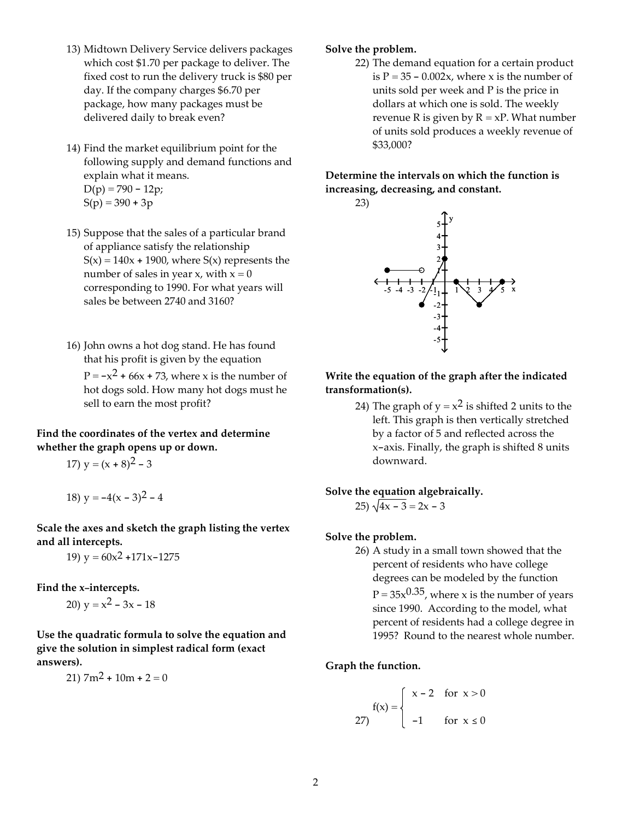- 13) Midtown Delivery Service delivers packages which cost \$1.70 per package to deliver. The fixed cost to run the delivery truck is \$80 per day. If the company charges \$6.70 per package, how many packages must be delivered daily to break even?
- 14) Find the market equilibrium point for the following supply and demand functions and explain what it means.  $D(p) = 790 - 12p$ ;

 $S(p) = 390 + 3p$ 

- 15) Suppose that the sales of a particular brand of appliance satisfy the relationship  $S(x) = 140x + 1900$ , where  $S(x)$  represents the number of sales in year x, with  $x = 0$ corresponding to 1990. For what years will sales be between 2740 and 3160?
- 16) John owns a hot dog stand. He has found that his profit is given by the equation  $P = -x^2 + 66x + 73$ , where x is the number of hot dogs sold. How many hot dogs must he sell to earn the most profit?

## Find the coordinates of the vertex and determine whether the graph opens up or down.

17) 
$$
y = (x + 8)^2 - 3
$$

18) 
$$
y = -4(x - 3)^2 - 4
$$

Scale the axes and sketch the graph listing the vertex and all intercepts.

19)  $y = 60x^2 + 171x - 1275$ 

Find the x-intercepts.

20)  $y = x^2 - 3x - 18$ 

Use the quadratic formula to solve the equation and give the solution in simplest radical form (exact answers).

 $21)$  7m<sup>2</sup> + 10m + 2 = 0

## Solve the problem.

22) The demand equation for a certain product is  $P = 35 - 0.002x$ , where x is the number of units sold per week and P is the price in dollars at which one is sold. The weekly revenue R is given by  $R = xP$ . What number of units sold produces a weekly revenue of \$33,000?

Determine the intervals on which the function is increasing, decreasing, and constant.



Write the equation of the graph after the indicated transformation(s).

> 24) The graph of  $y = x^2$  is shifted 2 units to the left. This graph is then vertically stretched by a factor of 5 and reflected across the x-axis. Finally, the graph is shifted 8 units downward.

# Solve the equation algebraically.

$$
25) \sqrt{4x - 3} = 2x - 3
$$

### Solve the problem.

26) A study in a small town showed that the percent of residents who have college degrees can be modeled by the function  $P = 35x^{0.35}$ , where x is the number of years since 1990. According to the model, what percent of residents had a college degree in 1995? Round to the nearest whole number.

### Graph the function.

$$
f(x) = \begin{cases} x - 2 & \text{for } x > 0 \\ -1 & \text{for } x \le 0 \end{cases}
$$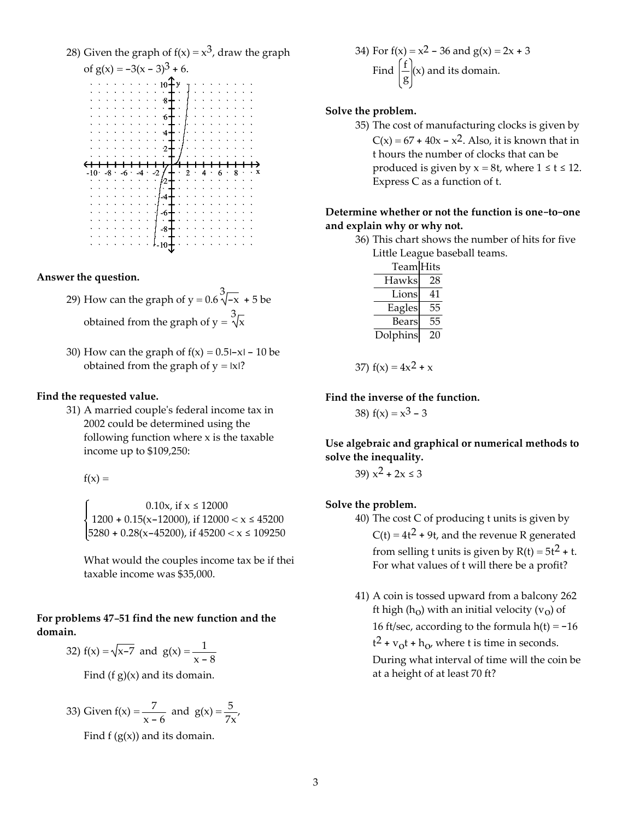28) Given the graph of  $f(x) = x^3$ , draw the graph



Answer the question.

- 29) How can the graph of  $y = 0.6 \sqrt[3]{-x} + 5$  be obtained from the graph of  $y = \sqrt[3]{x}$
- 30) How can the graph of  $f(x) = 0.5$ |-x| 10 be obtained from the graph of  $y = |x|$ ?

#### Find the requested value.

31) A married couple's federal income tax in 2002 could be determined using the following function where  $x$  is the taxable income up to \$109,250:

 $f(x) =$ 

0.10x, if  $x \le 12000$ 1200 + 0.15(x-12000), if  $12000 < x \le 45200$  $5280 + 0.28(x - 45200)$ , if  $45200 < x \le 109250$ 

What would the couples income tax be if their taxable income was \$35,000.

#### For problems 47-51 find the new function and the domain.

32) 
$$
f(x) = \sqrt{x-7}
$$
 and  $g(x) = \frac{1}{x-8}$ 

Find  $(f g)(x)$  and its domain.

33) Given 
$$
f(x) = \frac{7}{x-6}
$$
 and  $g(x) = \frac{5}{7x}$ ,

Find  $f(g(x))$  and its domain.

34) For f(x) = x<sup>2</sup> - 36 and g(x) = 2x + 3  
Find 
$$
\left(\frac{f}{g}\right)
$$
(x) and its domain.

#### Solve the problem.

35) The cost of manufacturing clocks is given by  $C(x) = 67 + 40x - x^2$ . Also, it is known that in t hours the number of clocks that can be produced is given by  $x = 8t$ , where  $1 \le t \le 12$ . Express C as a function of t.

## Determine whether or not the function is one-to-one and explain why or why not.

36) This chart shows the number of hits for five Little League baseball teams.

| Team Hits |    |
|-----------|----|
| Hawks     | 28 |
| Lions     | 41 |
| Eagles    | 55 |
| Bears     | 55 |
| Dolphins  | 20 |

37) 
$$
f(x) = 4x^2 + x
$$

Find the inverse of the function.

38)  $f(x) = x^3 - 3$ 

Use algebraic and graphical or numerical methods to solve the inequality.

39)  $x^2 + 2x \le 3$ 

#### Solve the problem.

- 40) The cost C of producing t units is given by  $C(t) = 4t^2 + 9t$ , and the revenue R generated from selling t units is given by  $R(t) = 5t^2 + t$ . For what values of t will there be a profit?
- 41) A coin is tossed upward from a balcony 262 ft high (h<sub>0</sub>) with an initial velocity ( $v_0$ ) of 16 ft/sec, according to the formula  $h(t) = -16$  $t^2$  +  $v_0t$  +  $h_0$ , where t is time in seconds.

During what interval of time will the coin be at a height of at least 70 ft?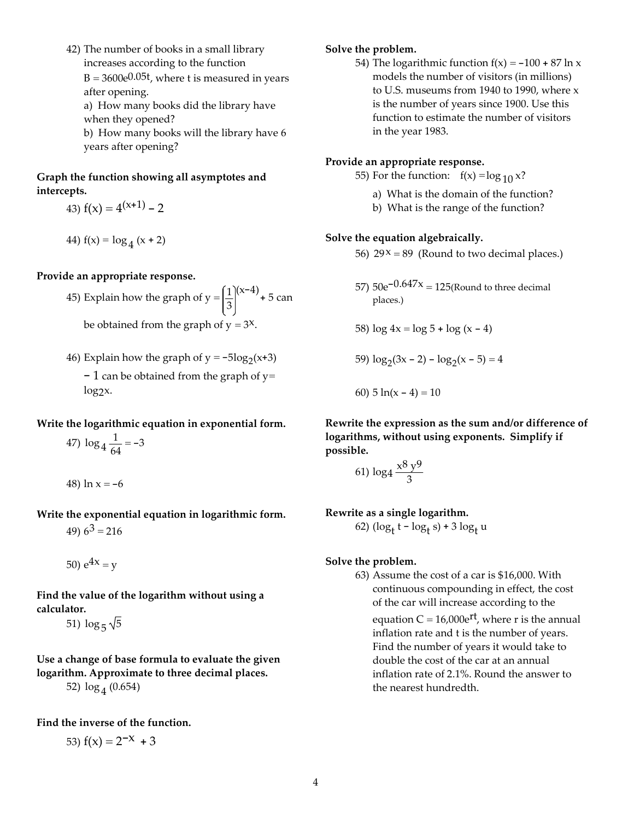42) The number of books in a small library increases according to the function  $B = 3600e^{0.05t}$ , where t is measured in years after opening.

a) How many books did the library have when they opened?

b) How many books will the library have 6 years after opening?

# Graph the function showing all asymptotes and intercepts.

- 43)  $f(x) = 4^{(x+1)} 2$
- 44)  $f(x) = log_4 (x + 2)$

### Provide an appropriate response.

45) Explain how the graph of  $y = \frac{1}{2}$ 3  $(x-4)$  + 5 can

be obtained from the graph of  $y = 3^x$ .

46) Explain how the graph of  $y = -5\log_2(x+3)$  $-1$  can be obtained from the graph of y= log<sub>2</sub>x.

Write the logarithmic equation in exponential form.

47) 
$$
\log_4 \frac{1}{64} = -3
$$

48) 
$$
\ln x = -6
$$

Write the exponential equation in logarithmic form.

49)  $6^3$  = 216

50)  $e^{4x} = v$ 

Find the value of the logarithm without using a calculator.

51)  $\log_5 \sqrt{5}$ 

Use a change of base formula to evaluate the given logarithm. Approximate to three decimal places. 52)  $\log_4(0.654)$ 

### Find the inverse of the function.

53) 
$$
f(x) = 2^{-x} + 3
$$

# Solve the problem.

54) The logarithmic function  $f(x) = -100 + 87 \ln x$ models the number of visitors (in millions) to U.S. museums from 1940 to 1990, where x is the number of years since 1900. Use this function to estimate the number of visitors in the year 1983.

# Provide an appropriate response.

- 55) For the function:  $f(x) = log_{10} x?$ 
	- a) What is the domain of the function?
	- b) What is the range of the function?

## Solve the equation algebraically.

- 56)  $29x = 89$  (Round to two decimal places.)
- 57)  $50e^{-0.647x} = 125$ (Round to three decimal places.)

58) 
$$
\log 4x = \log 5 + \log (x - 4)
$$

59)  $\log_2(3x - 2) - \log_2(x - 5) = 4$ 

60) 
$$
5 \ln(x - 4) = 10
$$

Rewrite the expression as the sum and/or difference of logarithms, without using exponents. Simplify if possible.

$$
61) \log_4 \frac{x^8 y^9}{3}
$$

Rewrite as a single logarithm.

62) 
$$
(\log_t t - \log_t s) + 3 \log_t u
$$

### Solve the problem.

63) Assume the cost of a car is \$16,000. With continuous compounding in effect, the cost of the car will increase according to the equation  $C = 16,000e^{rt}$ , where r is the annual inflation rate and t is the number of years. Find the number of years it would take to double the cost of the car at an annual inflation rate of 2.1%. Round the answer to the nearest hundredth.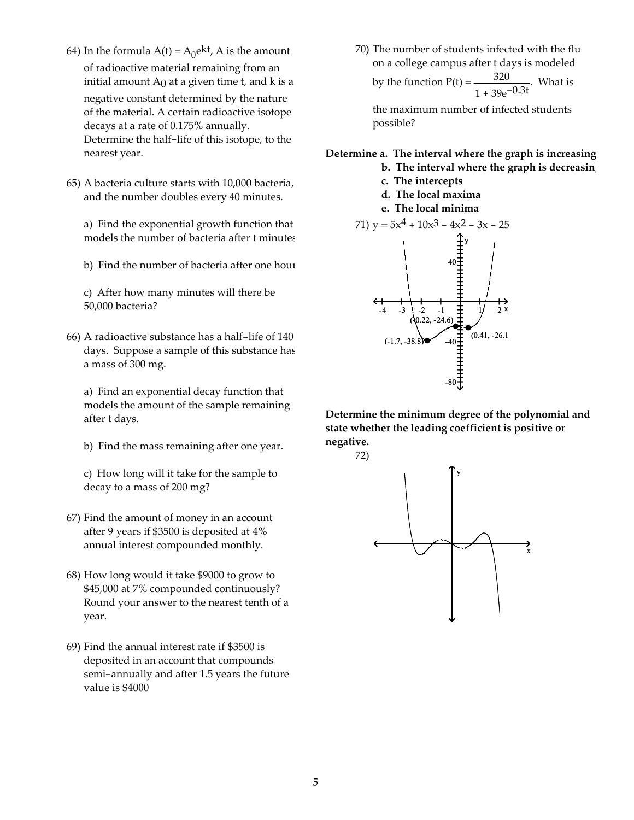- 64) In the formula  $A(t) = A_0 e^{kt}$ , A is the amount of radioactive material remaining from an initial amount  $A_0$  at a given time t, and k is a negative constant determined by the nature of the material. A certain radioactive isotope decays at a rate of 0.175% annually. Determine the half-life of this isotope, to the nearest year.
- 65) A bacteria culture starts with 10,000 bacteria, and the number doubles every 40 minutes.

a) Find the exponential growth function that models the number of bacteria after t minutes.

b) Find the number of bacteria after one hour.

c) After how many minutes will there be 50,000 bacteria?

66) A radioactive substance has a half-life of 140 days. Suppose a sample of this substance has a mass of 300 mg.

a) Find an exponential decay function that models the amount of the sample remaining after t days.

b) Find the mass remaining after one year.

c) How long will it take for the sample to decay to a mass of 200 mg?

- 67) Find the amount of money in an account after 9 years if \$3500 is deposited at 4% annual interest compounded monthly.
- 68) How long would it take \$9000 to grow to \$45,000 at 7% compounded continuously? Round your answer to the nearest tenth of a year.
- 69) Find the annual interest rate if \$3500 is deposited in an account that compounds semi-annually and after 1.5 years the future value is \$4000

70) The number of students infected with the flu on a college campus after t days is modeled by the function  $P(t) = \frac{320}{\pi}$  $\frac{520}{1 + 39e^{-0.3t}}$ . What is

the maximum number of infected students possible?

#### Determine a. The interval where the graph is increasing

- b. The interval where the graph is decreasing
- c. The intercepts
- d. The local maxima
- e. The local minima



Determine the minimum degree of the polynomial and state whether the leading coefficient is positive or negative.

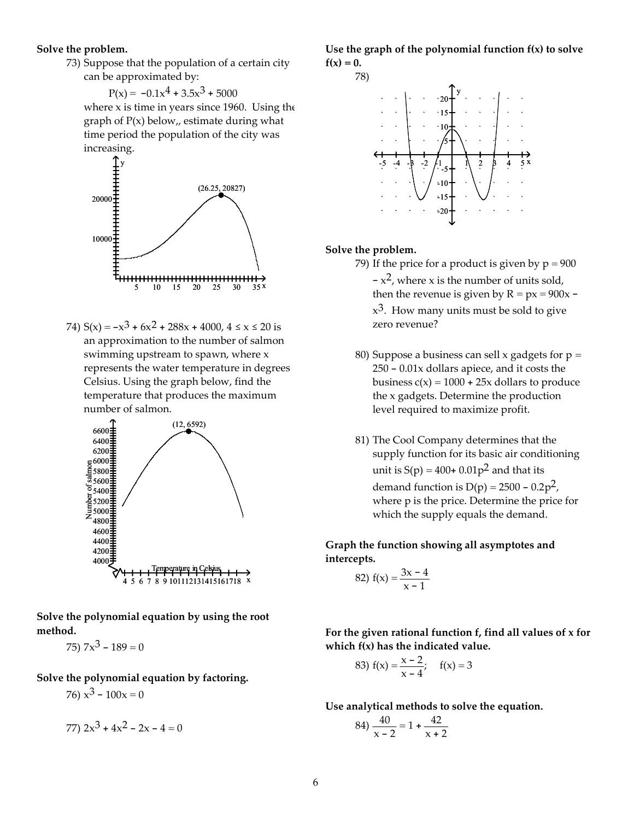#### Solve the problem.

73) Suppose that the population of a certain city can be approximated by:

 $P(x) = -0.1x^{4} + 3.5x^{3} + 5000$ where  $x$  is time in years since 1960. Using the graph of  $P(x)$  below,, estimate during what time period the population of the city was increasing.



74)  $S(x) = -x^3 + 6x^2 + 288x + 4000$ ,  $4 \le x \le 20$  is an approximation to the number of salmon swimming upstream to spawn, where x represents the water temperature in degrees Celsius. Using the graph below, find the temperature that produces the maximum number of salmon.



Solve the polynomial equation by using the root method.

75)  $7x^3 - 189 = 0$ 

Solve the polynomial equation by factoring.

76)  $x^3 - 100x = 0$ 

77) 
$$
2x^3 + 4x^2 - 2x - 4 = 0
$$

Use the graph of the polynomial function  $f(x)$  to solve  $f(x) = 0.$ 



#### Solve the problem.

- 79) If the price for a product is given by  $p = 900$  $-x^2$ , where x is the number of units sold, then the revenue is given by  $R = px = 900x$  $x^3$ . How many units must be sold to give zero revenue?
- 80) Suppose a business can sell x gadgets for  $p =$ 250 - 0.01x dollars apiece, and it costs the business  $c(x) = 1000 + 25x$  dollars to produce the x gadgets. Determine the production level required to maximize profit.
- 81) The Cool Company determines that the supply function for its basic air conditioning unit is  $S(p) = 400+0.01p^2$  and that its demand function is  $D(p) = 2500 - 0.2p^2$ , where p is the price. Determine the price for which the supply equals the demand.

Graph the function showing all asymptotes and intercepts.

82) 
$$
f(x) = \frac{3x - 4}{x - 1}
$$

For the given rational function f, find all values of x for which f(x) has the indicated value.

83) 
$$
f(x) = \frac{x-2}{x-4}
$$
;  $f(x) = 3$ 

Use analytical methods to solve the equation.

$$
84) \frac{40}{x-2} = 1 + \frac{42}{x+2}
$$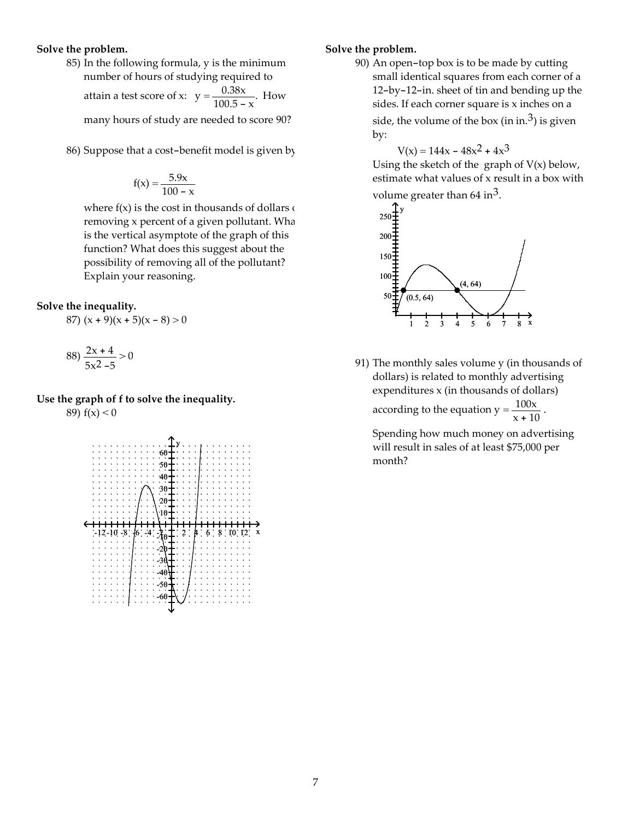#### Solve the problem.

85) In the following formula, y is the minimum number of hours of studying required to

attain a test score of x:  $y = \frac{0.38x}{1.005}$  $\frac{0.56x}{100.5 - x}$ . How

many hours of study are needed to score 90?

86) Suppose that a cost-benefit model is given by

$$
f(x) = \frac{5.9x}{100 - x}
$$

where  $f(x)$  is the cost in thousands of dollars  $\epsilon$ removing x percent of a given pollutant. What is the vertical asymptote of the graph of this function? What does this suggest about the possibility of removing all of the pollutant? Explain your reasoning.

#### Solve the inequality.

87) 
$$
(x + 9)(x + 5)(x - 8) > 0
$$

$$
88) \frac{2x+4}{5x^2-5} > 0
$$

# Use the graph of f to solve the inequality.

89)  $f(x) < 0$ 



### Solve the problem.

90) An open-top box is to be made by cutting small identical squares from each corner of a 12-by-12-in. sheet of tin and bending up the sides. If each corner square is x inches on a side, the volume of the box (in in.<sup>3</sup>) is given by:

 $V(x) = 144x - 48x^2 + 4x^3$ 

Using the sketch of the graph of  $V(x)$  below, estimate what values of x result in a box with volume greater than  $64 \text{ in}^3$ .



91) The monthly sales volume y (in thousands of dollars) is related to monthly advertising expenditures x (in thousands of dollars)

according to the equation  $y = \frac{100x}{100}$  $\frac{100 \lambda}{x + 10}$ .

Spending how much money on advertising will result in sales of at least \$75,000 per month?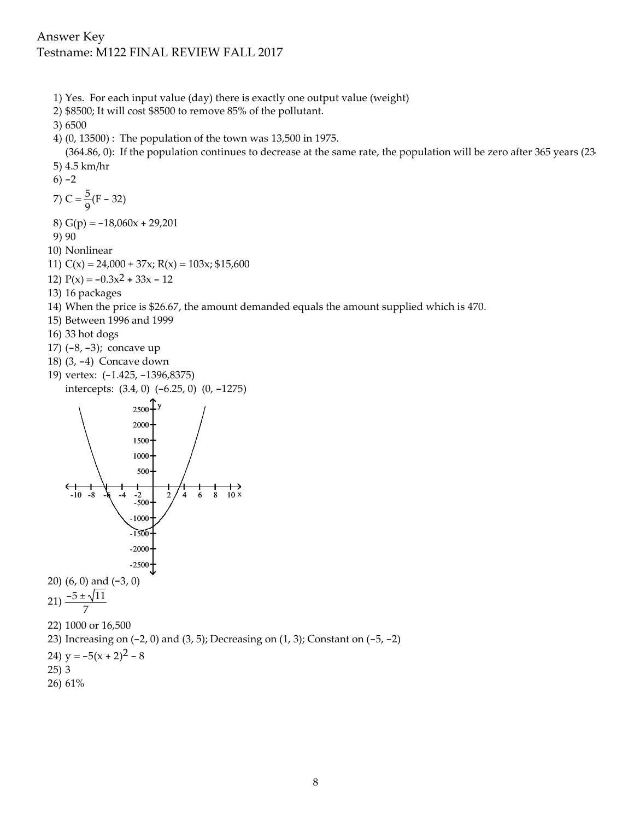- 1) Yes. For each input value (day) there is exactly one output value (weight)
- 2) \$8500; It will cost \$8500 to remove 85% of the pollutant.

3) 6500

4) (0, 13500) : The population of the town was 13,500 in 1975.

(364.86, 0): If the population continues to decrease at the same rate, the population will be zero after 365 years (23 5) 4.5 km/hr

 $6) -2$ 

7) C =  $\frac{5}{3}$  $\frac{9}{9}$ (F – 32)

- 8)  $G(p) = -18,060x + 29,201$
- 9) 90
- 10) Nonlinear
- 11)  $C(x) = 24,000 + 37x$ ;  $R(x) = 103x$ ; \$15,600
- 12)  $P(x) = -0.3x^2 + 33x 12$
- 13) 16 packages
- 14) When the price is \$26.67, the amount demanded equals the amount supplied which is 470.
- 15) Between 1996 and 1999
- 16) 33 hot dogs
- 17) (-8, -3); concave up
- 18) (3, -4) Concave down
- 19) vertex: (-1.425, -1396,8375) intercepts: (3.4, 0) (-6.25, 0) (0, -1275)



- 25) 3
- 26) 61%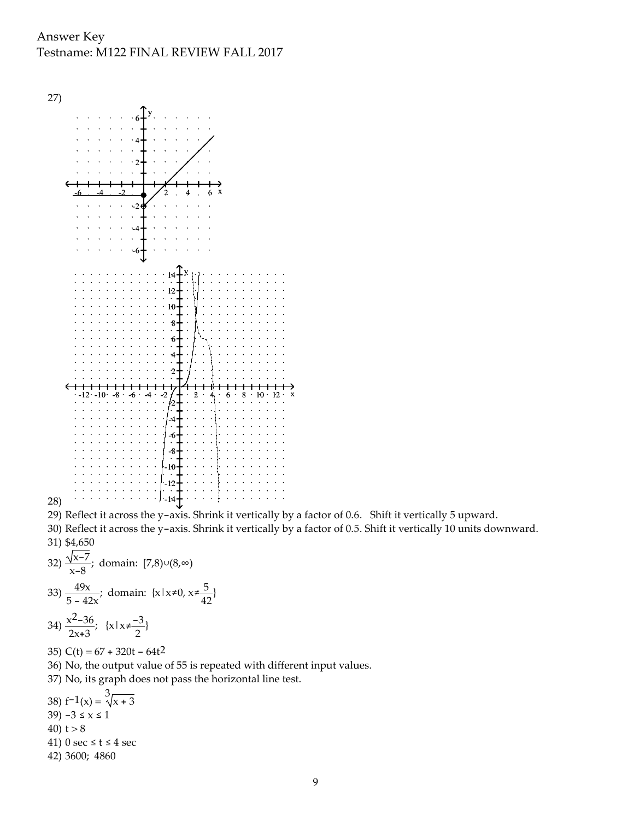

- 29) Reflect it across the y-axis. Shrink it vertically by a factor of 0.6. Shift it vertically 5 upward.
- 30) Reflect it across the y-axis. Shrink it vertically by a factor of 0.5. Shift it vertically 10 units downward. 31) \$4,650

32) 
$$
\frac{\sqrt{x-7}}{x-8}
$$
; domain:  $[7,8)\cup(8,\infty)$   
33)  $\frac{49x}{5-8}$ ; domain:  $\{x \mid x \neq 0, x \neq 0\}$ 

33) 
$$
\frac{49x}{5 - 42x}
$$
; domain:  $\{x \mid x \neq 0, x \neq \frac{5}{42}\}$   
34)  $\frac{x^2 - 36}{2x + 3}$ ;  $\{x \mid x \neq \frac{-3}{2}\}$ 

- 35)  $C(t) = 67 + 320t 64t^2$
- 36) No, the output value of 55 is repeated with different input values.
- 37) No, its graph does not pass the horizontal line test.
- 38)  $f^{-1}(x) = \sqrt[3]{x+3}$
- 39)  $-3 \le x \le 1$
- 40)  $t > 8$
- 
- 41) 0 sec  $\leq$  t  $\leq$  4 sec
- 42) 3600; 4860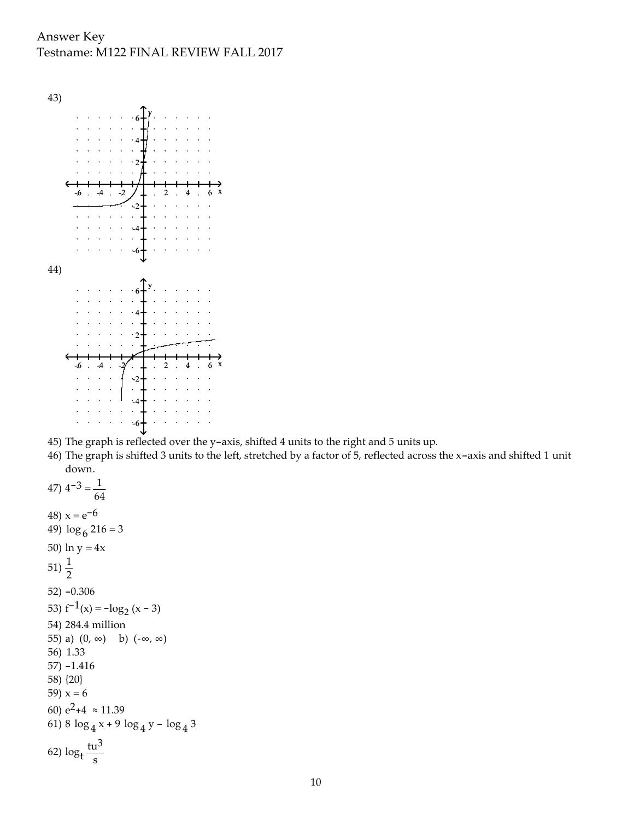

- 45) The graph is reflected over the y-axis, shifted 4 units to the right and 5 units up.
- 46) The graph is shifted 3 units to the left, stretched by a factor of 5, reflected across the x-axis and shifted 1 unit down.

```
47) 4^{-3} = \frac{1}{16}64
48) x = e^{-6}49) \log_6 216 = 350) ln y = 4x51) \frac{1}{2}52) -0.306
53) f^{-1}(x) = -\log_2(x - 3)54) 284.4 million
55) a) (0, \infty) b) (-\infty, \infty)56) 1.33
57) -1.416
58) {20}
59) x = 660) e^2+4 \approx 11.3961) 8 \log_4 x + 9 \log_4 y - \log_4 362) log<sub>t</sub>
           tu3
             s
```